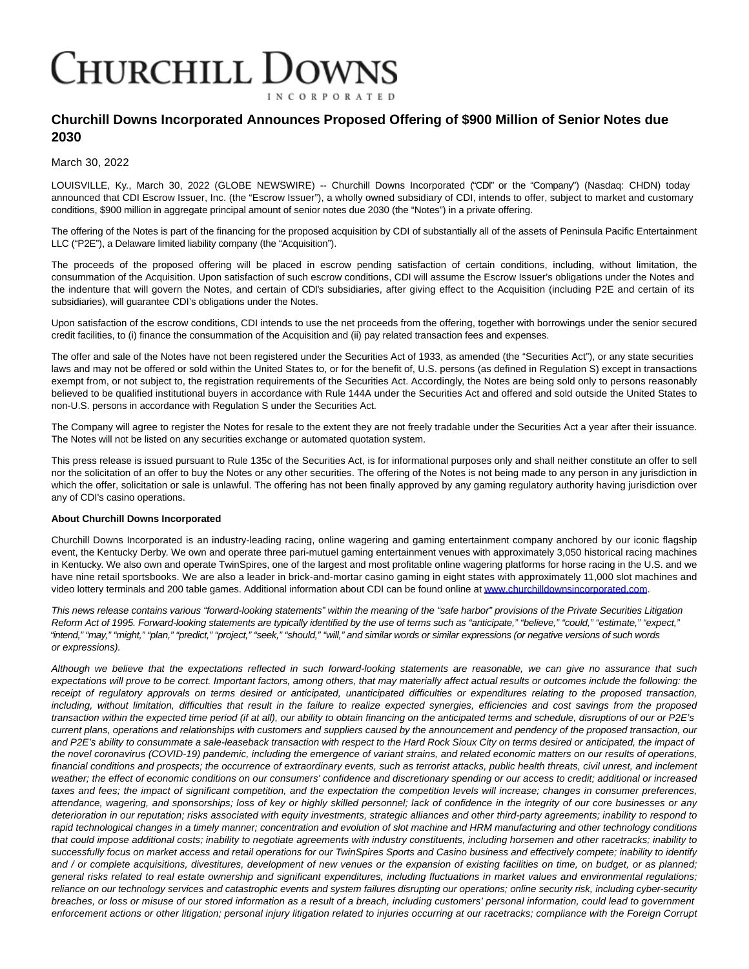## **CHURCHILL DOWNS INCORPORATED**

## **Churchill Downs Incorporated Announces Proposed Offering of \$900 Million of Senior Notes due 2030**

March 30, 2022

LOUISVILLE, Ky., March 30, 2022 (GLOBE NEWSWIRE) -- Churchill Downs Incorporated ("CDI" or the "Company") (Nasdaq: CHDN) today announced that CDI Escrow Issuer, Inc. (the "Escrow Issuer"), a wholly owned subsidiary of CDI, intends to offer, subject to market and customary conditions, \$900 million in aggregate principal amount of senior notes due 2030 (the "Notes") in a private offering.

The offering of the Notes is part of the financing for the proposed acquisition by CDI of substantially all of the assets of Peninsula Pacific Entertainment LLC ("P2E"), a Delaware limited liability company (the "Acquisition").

The proceeds of the proposed offering will be placed in escrow pending satisfaction of certain conditions, including, without limitation, the consummation of the Acquisition. Upon satisfaction of such escrow conditions, CDI will assume the Escrow Issuer's obligations under the Notes and the indenture that will govern the Notes, and certain of CDI's subsidiaries, after giving effect to the Acquisition (including P2E and certain of its subsidiaries), will guarantee CDI's obligations under the Notes.

Upon satisfaction of the escrow conditions, CDI intends to use the net proceeds from the offering, together with borrowings under the senior secured credit facilities, to (i) finance the consummation of the Acquisition and (ii) pay related transaction fees and expenses.

The offer and sale of the Notes have not been registered under the Securities Act of 1933, as amended (the "Securities Act"), or any state securities laws and may not be offered or sold within the United States to, or for the benefit of, U.S. persons (as defined in Regulation S) except in transactions exempt from, or not subject to, the registration requirements of the Securities Act. Accordingly, the Notes are being sold only to persons reasonably believed to be qualified institutional buyers in accordance with Rule 144A under the Securities Act and offered and sold outside the United States to non-U.S. persons in accordance with Regulation S under the Securities Act.

The Company will agree to register the Notes for resale to the extent they are not freely tradable under the Securities Act a year after their issuance. The Notes will not be listed on any securities exchange or automated quotation system.

This press release is issued pursuant to Rule 135c of the Securities Act, is for informational purposes only and shall neither constitute an offer to sell nor the solicitation of an offer to buy the Notes or any other securities. The offering of the Notes is not being made to any person in any jurisdiction in which the offer, solicitation or sale is unlawful. The offering has not been finally approved by any gaming regulatory authority having jurisdiction over any of CDI's casino operations.

## **About Churchill Downs Incorporated**

Churchill Downs Incorporated is an industry-leading racing, online wagering and gaming entertainment company anchored by our iconic flagship event, the Kentucky Derby. We own and operate three pari-mutuel gaming entertainment venues with approximately 3,050 historical racing machines in Kentucky. We also own and operate TwinSpires, one of the largest and most profitable online wagering platforms for horse racing in the U.S. and we have nine retail sportsbooks. We are also a leader in brick-and-mortar casino gaming in eight states with approximately 11,000 slot machines and video lottery terminals and 200 table games. Additional information about CDI can be found online a[t www.churchilldownsincorporated.com.](https://www.globenewswire.com/Tracker?data=tmM3G-YfvMViBdggLfl10di5yKME02ARFC7lgmfF00LQlRcjBzVQo24gRejLmxlBdL2rVaKKnb7i1Q_27pNJwThgM27QexeBHPomAmnNd6NcZNw9NPVltpK7knnv6qqBNfUNanoaw8FYvnKv4qlUpA==)

This news release contains various "forward-looking statements" within the meaning of the "safe harbor" provisions of the Private Securities Litigation Reform Act of 1995. Forward-looking statements are typically identified by the use of terms such as "anticipate," "believe," "could," "estimate," "expect," "intend," "may," "might," "plan," "predict," "project," "seek," "should," "will," and similar words or similar expressions (or negative versions of such words or expressions).

Although we believe that the expectations reflected in such forward-looking statements are reasonable, we can give no assurance that such expectations will prove to be correct. Important factors, among others, that may materially affect actual results or outcomes include the following: the receipt of regulatory approvals on terms desired or anticipated, unanticipated difficulties or expenditures relating to the proposed transaction, including, without limitation, difficulties that result in the failure to realize expected synergies, efficiencies and cost savings from the proposed transaction within the expected time period (if at all), our ability to obtain financing on the anticipated terms and schedule, disruptions of our or P2E's current plans, operations and relationships with customers and suppliers caused by the announcement and pendency of the proposed transaction, our and P2E's ability to consummate a sale-leaseback transaction with respect to the Hard Rock Sioux City on terms desired or anticipated, the impact of the novel coronavirus (COVID-19) pandemic, including the emergence of variant strains, and related economic matters on our results of operations, financial conditions and prospects; the occurrence of extraordinary events, such as terrorist attacks, public health threats, civil unrest, and inclement weather; the effect of economic conditions on our consumers' confidence and discretionary spending or our access to credit; additional or increased taxes and fees; the impact of significant competition, and the expectation the competition levels will increase; changes in consumer preferences, attendance, wagering, and sponsorships; loss of key or highly skilled personnel; lack of confidence in the integrity of our core businesses or any deterioration in our reputation; risks associated with equity investments, strategic alliances and other third-party agreements; inability to respond to rapid technological changes in a timely manner; concentration and evolution of slot machine and HRM manufacturing and other technology conditions that could impose additional costs; inability to negotiate agreements with industry constituents, including horsemen and other racetracks; inability to successfully focus on market access and retail operations for our TwinSpires Sports and Casino business and effectively compete; inability to identify and / or complete acquisitions, divestitures, development of new venues or the expansion of existing facilities on time, on budget, or as planned; general risks related to real estate ownership and significant expenditures, including fluctuations in market values and environmental regulations; reliance on our technology services and catastrophic events and system failures disrupting our operations; online security risk, including cyber-security breaches, or loss or misuse of our stored information as a result of a breach, including customers' personal information, could lead to government enforcement actions or other litigation; personal injury litigation related to injuries occurring at our racetracks; compliance with the Foreign Corrupt